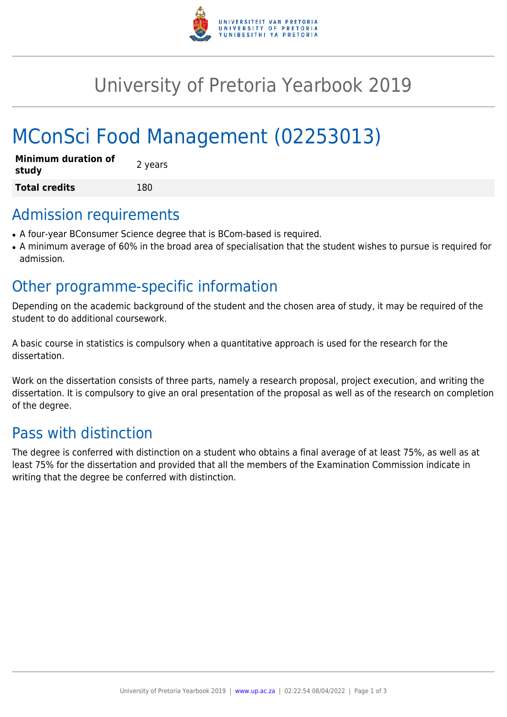

# University of Pretoria Yearbook 2019

# MConSci Food Management (02253013)

| <b>Minimum duration of</b><br>study | 2 years |
|-------------------------------------|---------|
| <b>Total credits</b>                | 180     |

### Admission requirements

- A four-year BConsumer Science degree that is BCom-based is required.
- A minimum average of 60% in the broad area of specialisation that the student wishes to pursue is required for admission.

## Other programme-specific information

Depending on the academic background of the student and the chosen area of study, it may be required of the student to do additional coursework.

A basic course in statistics is compulsory when a quantitative approach is used for the research for the dissertation.

Work on the dissertation consists of three parts, namely a research proposal, project execution, and writing the dissertation. It is compulsory to give an oral presentation of the proposal as well as of the research on completion of the degree.

# Pass with distinction

The degree is conferred with distinction on a student who obtains a final average of at least 75%, as well as at least 75% for the dissertation and provided that all the members of the Examination Commission indicate in writing that the degree be conferred with distinction.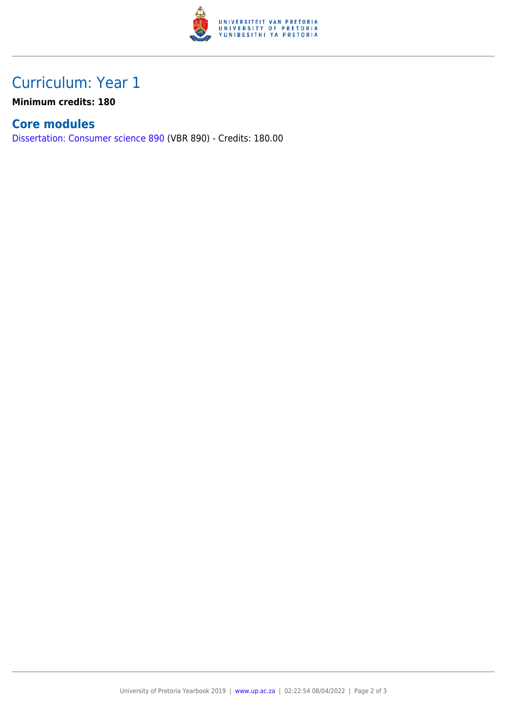

# Curriculum: Year 1

**Minimum credits: 180**

### **Core modules**

[Dissertation: Consumer science 890](https://www.up.ac.za/faculty-of-education/yearbooks/2019/modules/view/VBR 890) (VBR 890) - Credits: 180.00